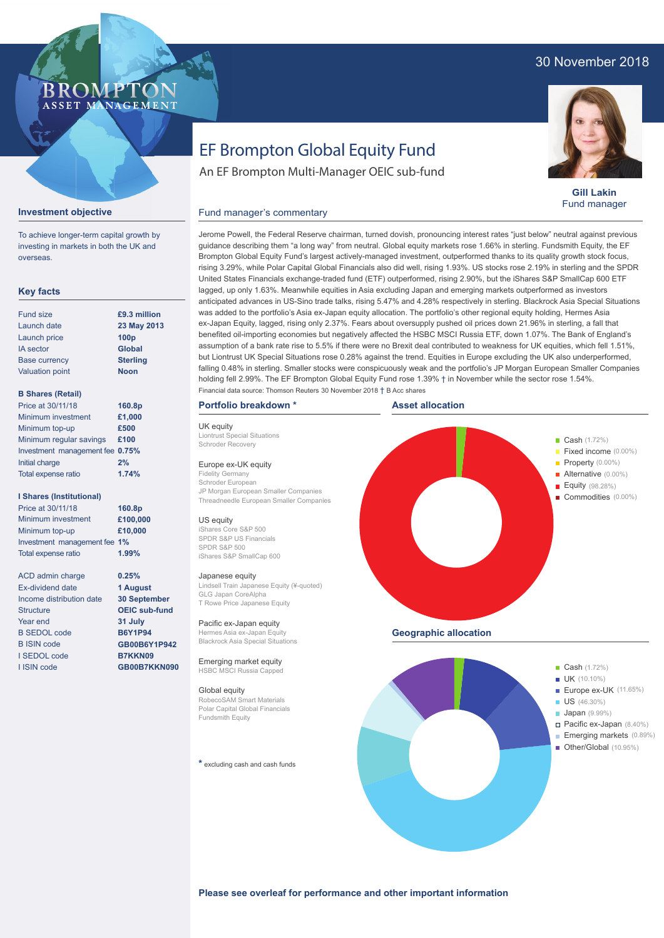# 30 November 2018

# BROMP ASSET MANAGEMENT

### **Gill Lakin** Fund manager

Pacific ex-Japan (8.40%) Emerging markets (0.89%)

■ Other/Global (10.95%)

# An EF Brompton Multi-Manager OEIC sub-fund

Fund manager's commentary

EF Brompton Global Equity Fund

# **Investment objective**

To achieve longer-term capital growth by investing in markets in both the UK and overseas.

## **Key facts**

| <b>Fund size</b>       | £9.3 million     |
|------------------------|------------------|
| Launch date            | 23 May 2013      |
| Launch price           | 100 <sub>p</sub> |
| <b>IA</b> sector       | <b>Global</b>    |
| <b>Base currency</b>   | <b>Sterling</b>  |
| <b>Valuation point</b> | <b>Noon</b>      |
|                        |                  |

### **B Shares (Retail)**

| 160.8p                          |
|---------------------------------|
| £1,000                          |
| £500                            |
| £100                            |
| Investment management fee 0.75% |
| 2%                              |
| 1.74%                           |
|                                 |

#### **I Shares (Institutional)**

| Price at 30/11/18            | 160.8p   |
|------------------------------|----------|
| Minimum investment           | £100,000 |
| Minimum top-up               | £10,000  |
| Investment management fee 1% |          |
| Total expense ratio          | 1.99%    |

**0.25% 1 August 30 September OEIC sub-fund 31 July B6Y1P94 GB00B6Y1P942 B7KKN09 GB00B7KKN090**

ACD admin charge Ex-dividend date Income distribution date **Structure** Year end B SEDOL code B ISIN code I SEDOL code I ISIN code

Jerome Powell, the Federal Reserve chairman, turned dovish, pronouncing interest rates "just below" neutral against previous guidance describing them "a long way" from neutral. Global equity markets rose 1.66% in sterling. Fundsmith Equity, the EF Brompton Global Equity Fund's largest actively-managed investment, outperformed thanks to its quality growth stock focus, rising 3.29%, while Polar Capital Global Financials also did well, rising 1.93%. US stocks rose 2.19% in sterling and the SPDR United States Financials exchange-traded fund (ETF) outperformed, rising 2.90%, but the iShares S&P SmallCap 600 ETF lagged, up only 1.63%. Meanwhile equities in Asia excluding Japan and emerging markets outperformed as investors anticipated advances in US-Sino trade talks, rising 5.47% and 4.28% respectively in sterling. Blackrock Asia Special Situations was added to the portfolio's Asia ex-Japan equity allocation. The portfolio's other regional equity holding, Hermes Asia ex-Japan Equity, lagged, rising only 2.37%. Fears about oversupply pushed oil prices down 21.96% in sterling, a fall that benefited oil-importing economies but negatively affected the HSBC MSCI Russia ETF, down 1.07%. The Bank of England's assumption of a bank rate rise to 5.5% if there were no Brexit deal contributed to weakness for UK equities, which fell 1.51%, but Liontrust UK Special Situations rose 0.28% against the trend. Equities in Europe excluding the UK also underperformed, falling 0.48% in sterling. Smaller stocks were conspicuously weak and the portfolio's JP Morgan European Smaller Companies holding fell 2.99%. The EF Brompton Global Equity Fund rose 1.39% † in November while the sector rose 1.54%. Financial data source: Thomson Reuters 30 November 2018 † B Acc shares

#### **Portfolio breakdown \***

UK equity Liontrust Special Situations Schroder Recovery

#### Europe ex-UK equity

Fidelity Germany Schroder European JP Morgan European Smaller Companies Threadneedle European Smaller Companies

#### US equity

iShares Core S&P 500 SPDR S&P US Financials SPDR S&P 500 iShares S&P SmallCap 600

#### Japanese equity

Lindsell Train Japanese Equity (¥-quoted) GLG Japan CoreAlpha T Rowe Price Japanese Equity

Pacific ex-Japan equity Hermes Asia ex-Japan Equity Blackrock Asia Special Situations

Emerging market equity HSBC MSCI Russia Capped

#### Global equity

RobecoSAM Smart Materials Polar Capital Global Financials Fundsmith Equity

**\*** excluding cash and cash funds



**Please see overleaf for performance and other important information**